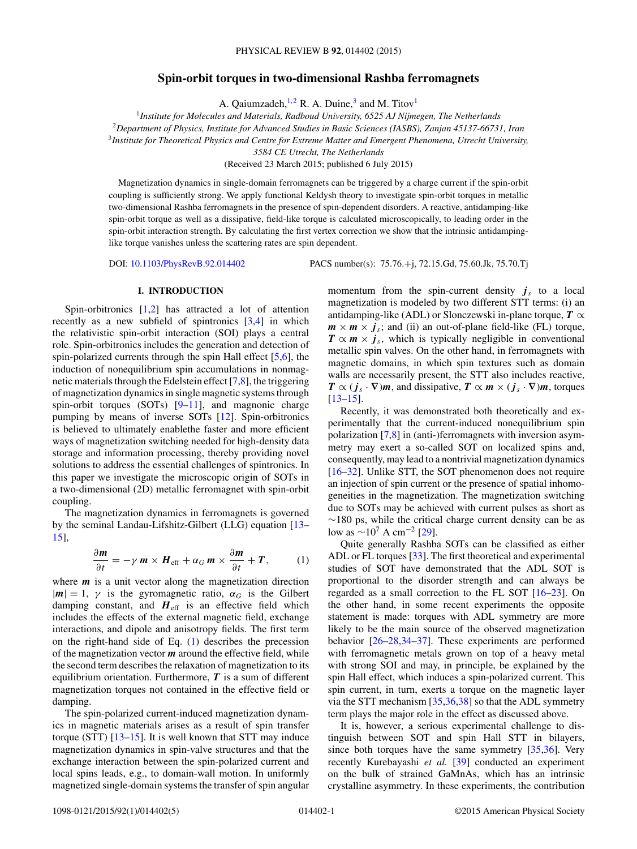# **Spin-orbit torques in two-dimensional Rashba ferromagnets**

A. Qaiumzadeh,  $^{1,2}$  R. A. Duine,<sup>3</sup> and M. Titov<sup>1</sup>

<sup>1</sup>*Institute for Molecules and Materials, Radboud University, 6525 AJ Nijmegen, The Netherlands* <sup>2</sup>*Department of Physics, Institute for Advanced Studies in Basic Sciences (IASBS), Zanjan 45137-66731, Iran* <sup>3</sup>*Institute for Theoretical Physics and Centre for Extreme Matter and Emergent Phenomena, Utrecht University,*

*3584 CE Utrecht, The Netherlands*

(Received 23 March 2015; published 6 July 2015)

Magnetization dynamics in single-domain ferromagnets can be triggered by a charge current if the spin-orbit coupling is sufficiently strong. We apply functional Keldysh theory to investigate spin-orbit torques in metallic two-dimensional Rashba ferromagnets in the presence of spin-dependent disorders. A reactive, antidamping-like spin-orbit torque as well as a dissipative, field-like torque is calculated microscopically, to leading order in the spin-orbit interaction strength. By calculating the first vertex correction we show that the intrinsic antidampinglike torque vanishes unless the scattering rates are spin dependent.

DOI: [10.1103/PhysRevB.92.014402](http://dx.doi.org/10.1103/PhysRevB.92.014402) PACS number(s): 75*.*76*.*+j*,* 72*.*15*.*Gd*,* 75*.*60*.*Jk*,* 75*.*70*.*Tj

### **I. INTRODUCTION**

Spin-orbitronics [\[1,2\]](#page-3-0) has attracted a lot of attention recently as a new subfield of spintronics [\[3,4\]](#page-3-0) in which the relativistic spin-orbit interaction (SOI) plays a central role. Spin-orbitronics includes the generation and detection of spin-polarized currents through the spin Hall effect  $[5,6]$ , the induction of nonequilibrium spin accumulations in nonmagnetic materials through the Edelstein effect [\[7,8\]](#page-3-0), the triggering of magnetization dynamics in single magnetic systems through spin-orbit torques  $(SOTs)$   $[9–11]$ , and magnonic charge pumping by means of inverse SOTs [\[12\]](#page-3-0). Spin-orbitronics is believed to ultimately enablethe faster and more efficient ways of magnetization switching needed for high-density data storage and information processing, thereby providing novel solutions to address the essential challenges of spintronics. In this paper we investigate the microscopic origin of SOTs in a two-dimensional (2D) metallic ferromagnet with spin-orbit coupling.

The magnetization dynamics in ferromagnets is governed by the seminal Landau-Lifshitz-Gilbert (LLG) equation [\[13–](#page-3-0) [15\]](#page-3-0),

$$
\frac{\partial \mathbf{m}}{\partial t} = -\gamma \mathbf{m} \times \mathbf{H}_{\text{eff}} + \alpha_G \mathbf{m} \times \frac{\partial \mathbf{m}}{\partial t} + \mathbf{T}, \qquad (1)
$$

where *m* is a unit vector along the magnetization direction  $|m| = 1$ ,  $\gamma$  is the gyromagnetic ratio,  $\alpha_G$  is the Gilbert damping constant, and  $H_{\text{eff}}$  is an effective field which includes the effects of the external magnetic field, exchange interactions, and dipole and anisotropy fields. The first term on the right-hand side of Eq. (1) describes the precession of the magnetization vector *m* around the effective field, while the second term describes the relaxation of magnetization to its equilibrium orientation. Furthermore, *T* is a sum of different magnetization torques not contained in the effective field or damping.

The spin-polarized current-induced magnetization dynamics in magnetic materials arises as a result of spin transfer torque (STT) [\[13–15\]](#page-3-0). It is well known that STT may induce magnetization dynamics in spin-valve structures and that the exchange interaction between the spin-polarized current and local spins leads, e.g., to domain-wall motion. In uniformly magnetized single-domain systems the transfer of spin angular momentum from the spin-current density  $j<sub>s</sub>$  to a local magnetization is modeled by two different STT terms: (i) an antidamping-like (ADL) or Slonczewski in-plane torque,  $T \propto$  $m \times m \times j_s$ ; and (ii) an out-of-plane field-like (FL) torque,  $T \propto m \times j_s$ , which is typically negligible in conventional metallic spin valves. On the other hand, in ferromagnets with magnetic domains, in which spin textures such as domain walls are necessarily present, the STT also includes reactive,  $T \propto (j_s \cdot \nabla)m$ , and dissipative,  $T \propto m \times (j_s \cdot \nabla)m$ , torques  $[13-15]$ .

Recently, it was demonstrated both theoretically and experimentally that the current-induced nonequilibrium spin polarization [\[7,8\]](#page-3-0) in (anti-)ferromagnets with inversion asymmetry may exert a so-called SOT on localized spins and, consequently, may lead to a nontrivial magnetization dynamics [\[16](#page-3-0)[–32\]](#page-4-0). Unlike STT, the SOT phenomenon does not require an injection of spin current or the presence of spatial inhomogeneities in the magnetization. The magnetization switching due to SOTs may be achieved with current pulses as short as  $~\sim$ 180 ps, while the critical charge current density can be as low as  $\sim$ 10<sup>7</sup> A cm<sup>-2</sup> [\[29\]](#page-3-0).

Quite generally Rashba SOTs can be classified as either ADL or FL torques [\[33\]](#page-4-0). The first theoretical and experimental studies of SOT have demonstrated that the ADL SOT is proportional to the disorder strength and can always be regarded as a small correction to the FL SOT [\[16–23\]](#page-3-0). On the other hand, in some recent experiments the opposite statement is made: torques with ADL symmetry are more likely to be the main source of the observed magnetization behavior [\[26–28,](#page-3-0)[34–37\]](#page-4-0). These experiments are performed with ferromagnetic metals grown on top of a heavy metal with strong SOI and may, in principle, be explained by the spin Hall effect, which induces a spin-polarized current. This spin current, in turn, exerts a torque on the magnetic layer via the STT mechanism [\[35,36,38\]](#page-4-0) so that the ADL symmetry term plays the major role in the effect as discussed above.

It is, however, a serious experimental challenge to distinguish between SOT and spin Hall STT in bilayers, since both torques have the same symmetry [\[35,36\]](#page-4-0). Very recently Kurebayashi *et al.* [\[39\]](#page-4-0) conducted an experiment on the bulk of strained GaMnAs, which has an intrinsic crystalline asymmetry. In these experiments, the contribution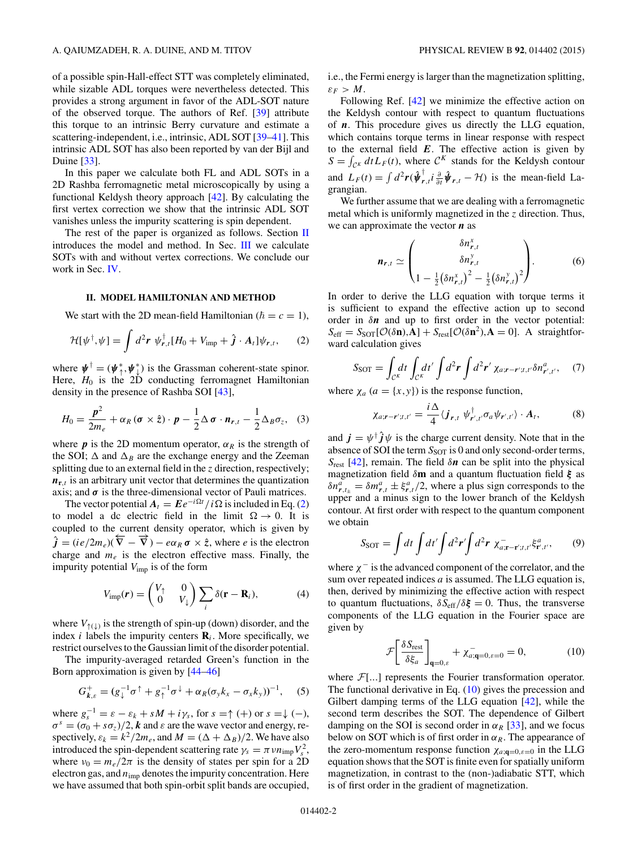<span id="page-1-0"></span>of a possible spin-Hall-effect STT was completely eliminated, while sizable ADL torques were nevertheless detected. This provides a strong argument in favor of the ADL-SOT nature of the observed torque. The authors of Ref. [\[39\]](#page-4-0) attribute this torque to an intrinsic Berry curvature and estimate a scattering-independent, i.e., intrinsic, ADL SOT [\[39–41\]](#page-4-0). This intrinsic ADL SOT has also been reported by van der Bijl and Duine [\[33\]](#page-4-0).

In this paper we calculate both FL and ADL SOTs in a 2D Rashba ferromagnetic metal microscopically by using a functional Keldysh theory approach [\[42\]](#page-4-0). By calculating the first vertex correction we show that the intrinsic ADL SOT vanishes unless the impurity scattering is spin dependent.

The rest of the paper is organized as follows. Section II introduces the model and method. In Sec. [III](#page-2-0) we calculate SOTs with and without vertex corrections. We conclude our work in Sec. [IV.](#page-3-0)

## **II. MODEL HAMILTONIAN AND METHOD**

We start with the 2D mean-field Hamiltonian ( $\hbar = c = 1$ ),

$$
\mathcal{H}[\psi^{\dagger},\psi] = \int d^2\mathbf{r} \ \psi^{\dagger}_{\mathbf{r},t}[H_0 + V_{\rm imp} + \hat{\boldsymbol{j}} \cdot \mathbf{A}_t]\psi_{\mathbf{r},t},\qquad(2)
$$

where  $\mathbf{\psi}^{\dagger} = (\mathbf{\psi}_{\uparrow}^*, \mathbf{\psi}_{\downarrow}^*)$  is the Grassman coherent-state spinor. Here,  $H_0$  is the 2D conducting ferromagnet Hamiltonian density in the presence of Rashba SOI [\[43\]](#page-4-0),

$$
H_0 = \frac{p^2}{2m_e} + \alpha_R (\boldsymbol{\sigma} \times \hat{\boldsymbol{z}}) \cdot \boldsymbol{p} - \frac{1}{2} \Delta \boldsymbol{\sigma} \cdot \boldsymbol{n}_{r,t} - \frac{1}{2} \Delta_B \sigma_z, \quad (3)
$$

where  $p$  is the 2D momentum operator,  $\alpha_R$  is the strength of the SOI;  $\Delta$  and  $\Delta$ <sub>B</sub> are the exchange energy and the Zeeman splitting due to an external field in the *z* direction, respectively;  $n_{r,t}$  is an arbitrary unit vector that determines the quantization axis; and  $\sigma$  is the three-dimensional vector of Pauli matrices.

The vector potential  $A_t = E e^{-i\Omega t} / i\Omega$  is included in Eq. (2) to model a dc electric field in the limit  $\Omega \rightarrow 0$ . It is coupled to the current density operator, which is given by  $\hat{j} = (ie/2m_e)(\overline{\nabla} - \overline{\nabla}) - e\alpha_R \sigma \times \hat{z}$ , where *e* is the electron charge and  $m_e$  is the electron effective mass. Finally, the impurity potential *V*imp is of the form

$$
V_{\text{imp}}(\mathbf{r}) = \begin{pmatrix} V_{\uparrow} & 0 \\ 0 & V_{\downarrow} \end{pmatrix} \sum_{i} \delta(\mathbf{r} - \mathbf{R}_{i}), \tag{4}
$$

where  $V_{\uparrow(\downarrow)}$  is the strength of spin-up (down) disorder, and the index *i* labels the impurity centers  $\mathbf{R}_i$ . More specifically, we restrict ourselves to the Gaussian limit of the disorder potential.

The impurity-averaged retarded Green's function in the Born approximation is given by [\[44–46\]](#page-4-0)

$$
G_{k,\varepsilon}^{+} = (g_{\downarrow}^{-1}\sigma^{\uparrow} + g_{\uparrow}^{-1}\sigma^{\downarrow} + \alpha_{R}(\sigma_{y}k_{x} - \sigma_{x}k_{y}))^{-1}, \quad (5)
$$

where  $g_s^{-1} = \varepsilon - \varepsilon_k + sM + i\gamma_s$ , for  $s = \uparrow (+)$  or  $s = \downarrow (-)$ ,  $\sigma^s = (\sigma_0 + s\sigma_z)/2$ , *k* and *ε* are the wave vector and energy, respectively,  $\varepsilon_k = k^2/2m_e$ , and  $M = (\Delta + \Delta_B)/2$ . We have also introduced the spin-dependent scattering rate  $\gamma_s = \pi v n_{\rm imp} V_s^2$ , where  $v_0 = m_e/2\pi$  is the density of states per spin for a 2D electron gas, and *n*imp denotes the impurity concentration. Here we have assumed that both spin-orbit split bands are occupied,

i.e., the Fermi energy is larger than the magnetization splitting,  $\varepsilon_F > M$ .

Following Ref. [\[42\]](#page-4-0) we minimize the effective action on the Keldysh contour with respect to quantum fluctuations of *n*. This procedure gives us directly the LLG equation, which contains torque terms in linear response with respect to the external field  $E$ . The effective action is given by  $S = \int_{\mathcal{C}^K} dt L_F(t)$ , where  $\mathcal{C}^K$  stands for the Keldysh contour and  $L_F(t) = \int d^2 \mathbf{r} (\hat{\boldsymbol{\psi}}_{\mathbf{r},t}^\dagger \hat{\boldsymbol{\psi}}_{\partial t} \hat{\boldsymbol{\psi}}_{\mathbf{r},t} - \mathcal{H})$  is the mean-field Lagrangian.

We further assume that we are dealing with a ferromagnetic metal which is uniformly magnetized in the *z* direction. Thus, we can approximate the vector *n* as

$$
\boldsymbol{n}_{r,t} \simeq \begin{pmatrix} \delta n_{r,t}^x \\ \delta n_{r,t}^y \\ 1 - \frac{1}{2} (\delta n_{r,t}^x)^2 - \frac{1}{2} (\delta n_{r,t}^y)^2 \end{pmatrix} . \tag{6}
$$

In order to derive the LLG equation with torque terms it is sufficient to expand the effective action up to second order in *δn* and up to first order in the vector potential:  $S_{\text{eff}} = S_{\text{SOT}}[\mathcal{O}(\delta \mathbf{n}), \mathbf{A}] + S_{\text{rest}}[\mathcal{O}(\delta \mathbf{n}^2), \mathbf{A} = 0]$ . A straightforward calculation gives

$$
S_{\text{SOT}} = \int_{\mathcal{C}^K} dt \int_{\mathcal{C}^K} dt' \int d^2 \boldsymbol{r} \int d^2 \boldsymbol{r}' \, \chi_{a; \boldsymbol{r} - \boldsymbol{r}'; t, t'} \delta n^a_{\boldsymbol{r}', t'}, \quad (7)
$$

where  $\chi_a$  ( $a = \{x, y\}$ ) is the response function,

$$
\chi_{a;r-r';t,t'} = \frac{i\,\Delta}{4} \langle \boldsymbol{j}_{r,t} \; \boldsymbol{\psi}_{r',t'}^{\dagger} \sigma_a \boldsymbol{\psi}_{r',t'} \rangle \cdot \boldsymbol{A}_t, \tag{8}
$$

and  $\vec{j} = \psi^{\dagger} \hat{j} \psi$  is the charge current density. Note that in the absence of SOI the term  $S_{SOT}$  is 0 and only second-order terms, *S*rest [\[42\]](#page-4-0), remain. The field *δn* can be split into the physical magnetization field *δ***m** and a quantum fluctuation field *ξ* as  $\delta n_{r,t_{\pm}}^a = \delta m_{r,t}^a \pm \xi_{r,t}^a/2$ , where a plus sign corresponds to the upper and a minus sign to the lower branch of the Keldysh contour. At first order with respect to the quantum component we obtain

$$
S_{\text{SOT}} = \int dt \int dt' \int d^2 \boldsymbol{r}' \int d^2 \boldsymbol{r} \; \chi^-_{a; \mathbf{r} - \mathbf{r}'; t, t'} \xi^a_{\mathbf{r}', t'}, \qquad (9)
$$

where *χ*<sup>−</sup> is the advanced component of the correlator, and the sum over repeated indices *a* is assumed. The LLG equation is, then, derived by minimizing the effective action with respect to quantum fluctuations,  $\delta S_{\text{eff}}/\delta \xi = 0$ . Thus, the transverse components of the LLG equation in the Fourier space are given by

$$
\mathcal{F}\left[\frac{\delta S_{\text{rest}}}{\delta \xi_a}\right]_{\mathbf{q}=0,\varepsilon} + \chi_{a;\mathbf{q}=0,\varepsilon=0}^- = 0,\tag{10}
$$

where  $\mathcal{F}$ [...] represents the Fourier transformation operator. The functional derivative in Eq.  $(10)$  gives the precession and Gilbert damping terms of the LLG equation [\[42\]](#page-4-0), while the second term describes the SOT. The dependence of Gilbert damping on the SOI is second order in  $\alpha_R$  [\[33\]](#page-4-0), and we focus below on SOT which is of first order in  $\alpha_R$ . The appearance of the zero-momentum response function  $\chi_{a; \mathbf{q}=0, \varepsilon=0}$  in the LLG equation shows that the SOT is finite even for spatially uniform magnetization, in contrast to the (non-)adiabatic STT, which is of first order in the gradient of magnetization.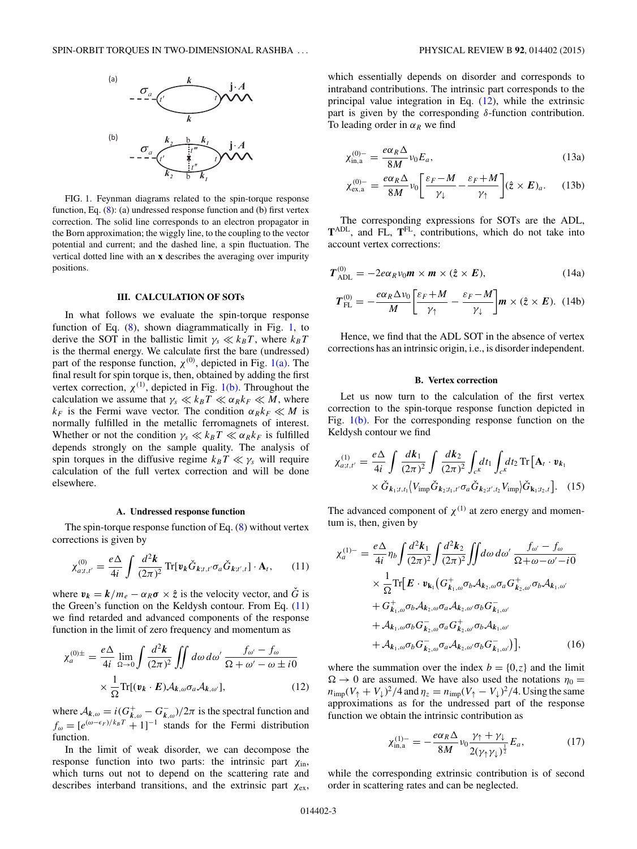<span id="page-2-0"></span>

FIG. 1. Feynman diagrams related to the spin-torque response function, Eq. [\(8\)](#page-1-0): (a) undressed response function and (b) first vertex correction. The solid line corresponds to an electron propagator in the Born approximation; the wiggly line, to the coupling to the vector potential and current; and the dashed line, a spin fluctuation. The vertical dotted line with an **x** describes the averaging over impurity positions.

## **III. CALCULATION OF SOTs**

In what follows we evaluate the spin-torque response function of Eq. [\(8\)](#page-1-0), shown diagrammatically in Fig. 1, to derive the SOT in the ballistic limit  $\gamma_s \ll k_B T$ , where  $k_B T$ is the thermal energy. We calculate first the bare (undressed) part of the response function,  $\chi^{(0)}$ , depicted in Fig. 1(a). The final result for spin torque is, then, obtained by adding the first vertex correction,  $\chi^{(1)}$ , depicted in Fig. 1(b). Throughout the calculation we assume that  $\gamma_s \ll k_B T \ll \alpha_R k_F \ll M$ , where  $k_F$  is the Fermi wave vector. The condition  $\alpha_R k_F \ll M$  is normally fulfilled in the metallic ferromagnets of interest. Whether or not the condition  $\gamma_s \ll k_B T \ll \alpha_R k_F$  is fulfilled depends strongly on the sample quality. The analysis of spin torques in the diffusive regime  $k_B T \ll \gamma_s$  will require calculation of the full vertex correction and will be done elsewhere.

#### **A. Undressed response function**

The spin-torque response function of Eq. [\(8\)](#page-1-0) without vertex corrections is given by

$$
\chi_{a;t,t'}^{(0)} = \frac{e\Delta}{4i} \int \frac{d^2\mathbf{k}}{(2\pi)^2} \operatorname{Tr}[\mathbf{v}_k \check{G}_{k;t,t'} \sigma_a \check{G}_{k;t',t}] \cdot \mathbf{A}_t, \qquad (11)
$$

where  $v_k = k/m_e - \alpha_R \sigma \times \hat{z}$  is the velocity vector, and  $\hat{G}$  is the Green's function on the Keldysh contour. From Eq. (11) we find retarded and advanced components of the response function in the limit of zero frequency and momentum as

$$
\chi_a^{(0)\pm} = \frac{e\Delta}{4i} \lim_{\Omega \to 0} \int \frac{d^2 \mathbf{k}}{(2\pi)^2} \iint d\omega \, d\omega' \, \frac{f_{\omega'} - f_{\omega}}{\Omega + \omega' - \omega \pm i0} \times \frac{1}{\Omega} \text{Tr}[(\mathbf{v}_k \cdot \mathbf{E}) \mathcal{A}_{k,\omega} \sigma_a \mathcal{A}_{k,\omega'}], \tag{12}
$$

where  $A_{k,\omega} = i(G_{k,\omega}^+ - G_{k,\omega}^-)/2\pi$  is the spectral function and  $f_{\omega} = [e^{(\omega - \epsilon_F)/k_B T} + 1]^{-1}$  stands for the Fermi distribution function.

In the limit of weak disorder, we can decompose the response function into two parts: the intrinsic part  $\chi_{\text{in}}$ , which turns out not to depend on the scattering rate and describes interband transitions, and the extrinsic part *χ*ex,

which essentially depends on disorder and corresponds to intraband contributions. The intrinsic part corresponds to the principal value integration in Eq. (12), while the extrinsic part is given by the corresponding *δ*-function contribution. To leading order in  $\alpha_R$  we find

$$
\chi_{\text{in},a}^{(0)-} = \frac{e\alpha_R\Delta}{8M} \nu_0 E_a,\tag{13a}
$$

$$
\chi_{\text{ex,a}}^{(0)-} = \frac{e\alpha_R\Delta}{8M} \nu_0 \left[ \frac{\varepsilon_F - M}{\gamma_\downarrow} - \frac{\varepsilon_F + M}{\gamma_\uparrow} \right] (\hat{z} \times E)_a. \tag{13b}
$$

The corresponding expressions for SOTs are the ADL, **T**ADL, and FL, **T**FL, contributions, which do not take into account vertex corrections:

$$
T_{\text{ADL}}^{(0)} = -2e\alpha_R v_0 \mathbf{m} \times \mathbf{m} \times (\hat{z} \times \mathbf{E}), \qquad (14a)
$$

$$
T_{\rm FL}^{(0)} = -\frac{e\alpha_R\Delta\nu_0}{M} \left[ \frac{\varepsilon_F + M}{\gamma_\uparrow} - \frac{\varepsilon_F - M}{\gamma_\downarrow} \right] m \times (\hat{z} \times E). \tag{14b}
$$

Hence, we find that the ADL SOT in the absence of vertex corrections has an intrinsic origin, i.e., is disorder independent.

# **B. Vertex correction**

Let us now turn to the calculation of the first vertex correction to the spin-torque response function depicted in Fig.  $1(b)$ . For the corresponding response function on the Keldysh contour we find

$$
\chi_{a;t,t'}^{(1)} = \frac{e\Delta}{4i} \int \frac{d\mathbf{k}_1}{(2\pi)^2} \int \frac{d\mathbf{k}_2}{(2\pi)^2} \int_{c^K} dt_1 \int_{c^K} dt_2 \operatorname{Tr} \left[ \mathbf{A}_t \cdot \mathbf{v}_{\mathbf{k}_1} \right] \times \check{\mathbf{G}}_{\mathbf{k}_1;t,t_1} \left[ V_{\text{imp}} \check{\mathbf{G}}_{\mathbf{k}_2;t_1,t'} \sigma_a \check{\mathbf{G}}_{\mathbf{k}_2;t',t_2} V_{\text{imp}} \right] \check{\mathbf{G}}_{\mathbf{k}_1;t_2,t} \right]. \tag{15}
$$

The advanced component of  $\chi^{(1)}$  at zero energy and momentum is, then, given by

$$
\chi_a^{(1)-} = \frac{e\Delta}{4i} \eta_b \int \frac{d^2 k_1}{(2\pi)^2} \int \frac{d^2 k_2}{(2\pi)^2} \iint d\omega \, d\omega' \, \frac{f_{\omega'} - f_{\omega}}{\Omega + \omega - \omega' - i0} \n\times \frac{1}{\Omega} \text{Tr} \big[ \boldsymbol{E} \cdot \boldsymbol{v}_{\mathbf{k}_1} \big( G^+_{k_1, \omega} \sigma_b \mathcal{A}_{k_2, \omega} \sigma_a G^+_{k_2, \omega'} \sigma_b \mathcal{A}_{k_1, \omega'} \right. \n+ G^+_{k_1, \omega} \sigma_b \mathcal{A}_{k_2, \omega} \sigma_a \mathcal{A}_{k_2, \omega'} \sigma_b G^-_{k_1, \omega'} \n+ \mathcal{A}_{k_1, \omega} \sigma_b G^-_{k_2, \omega} \sigma_a G^+_{k_2, \omega'} \sigma_b \mathcal{A}_{k_1, \omega'} \n+ \mathcal{A}_{k_1, \omega} \sigma_b G^-_{k_2, \omega} \sigma_a \mathcal{A}_{k_2, \omega'} \sigma_b G^-_{k_1, \omega'} \big], \tag{16}
$$

where the summation over the index  $b = \{0, z\}$  and the limit  $\Omega \rightarrow 0$  are assumed. We have also used the notations  $\eta_0 =$  $n_{\text{imp}}(V_{\uparrow} + V_{\downarrow})^2/4$  and  $\eta_z = n_{\text{imp}}(V_{\uparrow} - V_{\downarrow})^2/4$ . Using the same approximations as for the undressed part of the response function we obtain the intrinsic contribution as

$$
\chi_{\text{in},a}^{(1)-} = -\frac{e\alpha_R\Delta}{8M}\nu_0\frac{\gamma_\uparrow + \gamma_\downarrow}{2(\gamma_\uparrow\gamma_\downarrow)^{\frac{1}{2}}}E_a,\tag{17}
$$

while the corresponding extrinsic contribution is of second order in scattering rates and can be neglected.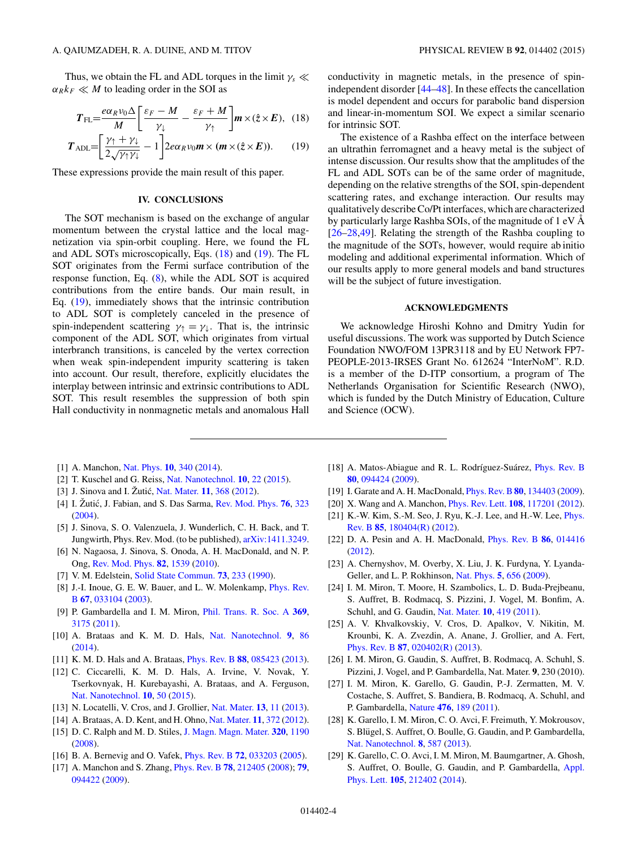<span id="page-3-0"></span>Thus, we obtain the FL and ADL torques in the limit  $\gamma_s \ll$  $\alpha_R k_F \ll M$  to leading order in the SOI as

$$
T_{\rm FL} = \frac{e\alpha_R v_0 \Delta}{M} \left[ \frac{\varepsilon_F - M}{\gamma_\downarrow} - \frac{\varepsilon_F + M}{\gamma_\uparrow} \right] m \times (\hat{z} \times E), \quad (18)
$$

$$
T_{\text{ADL}} = \left[\frac{\gamma_{\uparrow} + \gamma_{\downarrow}}{2\sqrt{\gamma_{\uparrow}\gamma_{\downarrow}}} - 1\right] 2e\alpha_R v_0 \mathbf{m} \times (\mathbf{m} \times (\hat{z} \times E)). \tag{19}
$$

These expressions provide the main result of this paper.

## **IV. CONCLUSIONS**

The SOT mechanism is based on the exchange of angular momentum between the crystal lattice and the local magnetization via spin-orbit coupling. Here, we found the FL and ADL SOTs microscopically, Eqs. (18) and (19). The FL SOT originates from the Fermi surface contribution of the response function, Eq. [\(8\)](#page-1-0), while the ADL SOT is acquired contributions from the entire bands. Our main result, in Eq. (19), immediately shows that the intrinsic contribution to ADL SOT is completely canceled in the presence of spin-independent scattering  $\gamma_1 = \gamma_1$ . That is, the intrinsic component of the ADL SOT, which originates from virtual interbranch transitions, is canceled by the vertex correction when weak spin-independent impurity scattering is taken into account. Our result, therefore, explicitly elucidates the interplay between intrinsic and extrinsic contributions to ADL SOT. This result resembles the suppression of both spin Hall conductivity in nonmagnetic metals and anomalous Hall conductivity in magnetic metals, in the presence of spinindependent disorder [\[44–48\]](#page-4-0). In these effects the cancellation is model dependent and occurs for parabolic band dispersion and linear-in-momentum SOI. We expect a similar scenario for intrinsic SOT.

The existence of a Rashba effect on the interface between an ultrathin ferromagnet and a heavy metal is the subject of intense discussion. Our results show that the amplitudes of the FL and ADL SOTs can be of the same order of magnitude, depending on the relative strengths of the SOI, spin-dependent scattering rates, and exchange interaction. Our results may qualitatively describe Co/Pt interfaces, which are characterized by particularly large Rashba SOIs, of the magnitude of 1 eV Å [26–28[,49\]](#page-4-0). Relating the strength of the Rashba coupling to the magnitude of the SOTs, however, would require ab initio modeling and additional experimental information. Which of our results apply to more general models and band structures will be the subject of future investigation.

#### **ACKNOWLEDGMENTS**

We acknowledge Hiroshi Kohno and Dmitry Yudin for useful discussions. The work was supported by Dutch Science Foundation NWO/FOM 13PR3118 and by EU Network FP7- PEOPLE-2013-IRSES Grant No. 612624 "InterNoM". R.D. is a member of the D-ITP consortium, a program of The Netherlands Organisation for Scientific Research (NWO), which is funded by the Dutch Ministry of Education, Culture and Science (OCW).

- [1] A. Manchon, [Nat. Phys.](http://dx.doi.org/10.1038/nphys2957) **[10](http://dx.doi.org/10.1038/nphys2957)**, [340](http://dx.doi.org/10.1038/nphys2957) [\(2014\)](http://dx.doi.org/10.1038/nphys2957).
- [2] T. Kuschel and G. Reiss, [Nat. Nanotechnol.](http://dx.doi.org/10.1038/nnano.2014.279) **[10](http://dx.doi.org/10.1038/nnano.2014.279)**, [22](http://dx.doi.org/10.1038/nnano.2014.279) [\(2015\)](http://dx.doi.org/10.1038/nnano.2014.279).
- [3] J. Sinova and I. Zutić, [Nat. Mater.](http://dx.doi.org/10.1038/nmat3304) **[11](http://dx.doi.org/10.1038/nmat3304)**, [368](http://dx.doi.org/10.1038/nmat3304) [\(2012\)](http://dx.doi.org/10.1038/nmat3304).
- [4] I. Žutić, J. Fabian, and S. Das Sarma, [Rev. Mod. Phys.](http://dx.doi.org/10.1103/RevModPhys.76.323) **[76](http://dx.doi.org/10.1103/RevModPhys.76.323)**, [323](http://dx.doi.org/10.1103/RevModPhys.76.323) [\(2004\)](http://dx.doi.org/10.1103/RevModPhys.76.323).
- [5] J. Sinova, S. O. Valenzuela, J. Wunderlich, C. H. Back, and T. Jungwirth, Phys. Rev. Mod. (to be published), [arXiv:1411.3249.](http://arxiv.org/abs/arXiv:1411.3249)
- [6] N. Nagaosa, J. Sinova, S. Onoda, A. H. MacDonald, and N. P. Ong, [Rev. Mod. Phys.](http://dx.doi.org/10.1103/RevModPhys.82.1539) **[82](http://dx.doi.org/10.1103/RevModPhys.82.1539)**, [1539](http://dx.doi.org/10.1103/RevModPhys.82.1539) [\(2010\)](http://dx.doi.org/10.1103/RevModPhys.82.1539).
- [7] V. M. Edelstein, [Solid State Commun.](http://dx.doi.org/10.1016/0038-1098(90)90963-C) **[73](http://dx.doi.org/10.1016/0038-1098(90)90963-C)**, [233](http://dx.doi.org/10.1016/0038-1098(90)90963-C) [\(1990\)](http://dx.doi.org/10.1016/0038-1098(90)90963-C).
- [8] [J.-I. Inoue, G. E. W. Bauer, and L. W. Molenkamp,](http://dx.doi.org/10.1103/PhysRevB.67.033104) *Phys. Rev.* B **[67](http://dx.doi.org/10.1103/PhysRevB.67.033104)**, [033104](http://dx.doi.org/10.1103/PhysRevB.67.033104) [\(2003\)](http://dx.doi.org/10.1103/PhysRevB.67.033104).
- [9] P. Gambardella and I. M. Miron, [Phil. Trans. R. Soc. A](http://dx.doi.org/10.1098/rsta.2010.0336) **[369](http://dx.doi.org/10.1098/rsta.2010.0336)**, [3175](http://dx.doi.org/10.1098/rsta.2010.0336) [\(2011\)](http://dx.doi.org/10.1098/rsta.2010.0336).
- [10] A. Brataas and K. M. D. Hals, [Nat. Nanotechnol.](http://dx.doi.org/10.1038/nnano.2014.8) **[9](http://dx.doi.org/10.1038/nnano.2014.8)**, [86](http://dx.doi.org/10.1038/nnano.2014.8) [\(2014\)](http://dx.doi.org/10.1038/nnano.2014.8).
- [11] K. M. D. Hals and A. Brataas, [Phys. Rev. B](http://dx.doi.org/10.1103/PhysRevB.88.085423) **[88](http://dx.doi.org/10.1103/PhysRevB.88.085423)**, [085423](http://dx.doi.org/10.1103/PhysRevB.88.085423) [\(2013\)](http://dx.doi.org/10.1103/PhysRevB.88.085423).
- [12] C. Ciccarelli, K. M. D. Hals, A. Irvine, V. Novak, Y. Tserkovnyak, H. Kurebayashi, A. Brataas, and A. Ferguson, [Nat. Nanotechnol.](http://dx.doi.org/10.1038/nnano.2014.252) **[10](http://dx.doi.org/10.1038/nnano.2014.252)**, [50](http://dx.doi.org/10.1038/nnano.2014.252) [\(2015\)](http://dx.doi.org/10.1038/nnano.2014.252).
- [13] N. Locatelli, V. Cros, and J. Grollier, [Nat. Mater.](http://dx.doi.org/10.1038/nmat3823) **[13](http://dx.doi.org/10.1038/nmat3823)**, [11](http://dx.doi.org/10.1038/nmat3823) [\(2013\)](http://dx.doi.org/10.1038/nmat3823).
- [14] A. Brataas, A. D. Kent, and H. Ohno, [Nat. Mater.](http://dx.doi.org/10.1038/nmat3311) **[11](http://dx.doi.org/10.1038/nmat3311)**, [372](http://dx.doi.org/10.1038/nmat3311) [\(2012\)](http://dx.doi.org/10.1038/nmat3311).
- [15] D. C. Ralph and M. D. Stiles, [J. Magn. Magn. Mater.](http://dx.doi.org/10.1016/j.jmmm.2007.12.019) **[320](http://dx.doi.org/10.1016/j.jmmm.2007.12.019)**, [1190](http://dx.doi.org/10.1016/j.jmmm.2007.12.019) [\(2008\)](http://dx.doi.org/10.1016/j.jmmm.2007.12.019).
- [16] B. A. Bernevig and O. Vafek, [Phys. Rev. B](http://dx.doi.org/10.1103/PhysRevB.72.033203) **[72](http://dx.doi.org/10.1103/PhysRevB.72.033203)**, [033203](http://dx.doi.org/10.1103/PhysRevB.72.033203) [\(2005\)](http://dx.doi.org/10.1103/PhysRevB.72.033203).
- [17] A. Manchon and S. Zhang, *[Phys. Rev. B](http://dx.doi.org/10.1103/PhysRevB.78.212405)* **[78](http://dx.doi.org/10.1103/PhysRevB.78.212405)**, [212405](http://dx.doi.org/10.1103/PhysRevB.78.212405) [\(2008\)](http://dx.doi.org/10.1103/PhysRevB.78.212405); **[79](http://dx.doi.org/10.1103/PhysRevB.79.094422)**, [094422](http://dx.doi.org/10.1103/PhysRevB.79.094422) [\(2009\)](http://dx.doi.org/10.1103/PhysRevB.79.094422).
- [18] A. Matos-Abiague and R. L. Rodríguez-Suárez, *[Phys. Rev. B](http://dx.doi.org/10.1103/PhysRevB.80.094424)* **[80](http://dx.doi.org/10.1103/PhysRevB.80.094424)**, [094424](http://dx.doi.org/10.1103/PhysRevB.80.094424) [\(2009\)](http://dx.doi.org/10.1103/PhysRevB.80.094424).
- [19] I. Garate and A. H. MacDonald, [Phys. Rev. B](http://dx.doi.org/10.1103/PhysRevB.80.134403) **[80](http://dx.doi.org/10.1103/PhysRevB.80.134403)**, [134403](http://dx.doi.org/10.1103/PhysRevB.80.134403) [\(2009\)](http://dx.doi.org/10.1103/PhysRevB.80.134403).
- [20] X. Wang and A. Manchon, [Phys. Rev. Lett.](http://dx.doi.org/10.1103/PhysRevLett.108.117201) **[108](http://dx.doi.org/10.1103/PhysRevLett.108.117201)**, [117201](http://dx.doi.org/10.1103/PhysRevLett.108.117201) [\(2012\)](http://dx.doi.org/10.1103/PhysRevLett.108.117201).
- [21] [K.-W. Kim, S.-M. Seo, J. Ryu, K.-J. Lee, and H.-W. Lee,](http://dx.doi.org/10.1103/PhysRevB.85.180404) Phys. Rev. B **[85](http://dx.doi.org/10.1103/PhysRevB.85.180404)**, [180404\(R\)](http://dx.doi.org/10.1103/PhysRevB.85.180404) [\(2012\)](http://dx.doi.org/10.1103/PhysRevB.85.180404).
- [22] D. A. Pesin and A. H. MacDonald, [Phys. Rev. B](http://dx.doi.org/10.1103/PhysRevB.86.014416) **[86](http://dx.doi.org/10.1103/PhysRevB.86.014416)**, [014416](http://dx.doi.org/10.1103/PhysRevB.86.014416) [\(2012\)](http://dx.doi.org/10.1103/PhysRevB.86.014416).
- [23] A. Chernyshov, M. Overby, X. Liu, J. K. Furdyna, Y. Lyanda-Geller, and L. P. Rokhinson, [Nat. Phys.](http://dx.doi.org/10.1038/nphys1362) **[5](http://dx.doi.org/10.1038/nphys1362)**, [656](http://dx.doi.org/10.1038/nphys1362) [\(2009\)](http://dx.doi.org/10.1038/nphys1362).
- [24] I. M. Miron, T. Moore, H. Szambolics, L. D. Buda-Prejbeanu, S. Auffret, B. Rodmacq, S. Pizzini, J. Vogel, M. Bonfim, A. Schuhl, and G. Gaudin, [Nat. Mater.](http://dx.doi.org/10.1038/nmat3020) **[10](http://dx.doi.org/10.1038/nmat3020)**, [419](http://dx.doi.org/10.1038/nmat3020) [\(2011\)](http://dx.doi.org/10.1038/nmat3020).
- [25] A. V. Khvalkovskiy, V. Cros, D. Apalkov, V. Nikitin, M. Krounbi, K. A. Zvezdin, A. Anane, J. Grollier, and A. Fert, [Phys. Rev. B](http://dx.doi.org/10.1103/PhysRevB.87.020402) **[87](http://dx.doi.org/10.1103/PhysRevB.87.020402)**, [020402\(R\)](http://dx.doi.org/10.1103/PhysRevB.87.020402) [\(2013\)](http://dx.doi.org/10.1103/PhysRevB.87.020402).
- [26] I. M. Miron, G. Gaudin, S. Auffret, B. Rodmacq, A. Schuhl, S. Pizzini, J. Vogel, and P. Gambardella, Nat. Mater. **9**, 230 (2010).
- [27] I. M. Miron, K. Garello, G. Gaudin, P.-J. Zermatten, M. V. Costache, S. Auffret, S. Bandiera, B. Rodmacq, A. Schuhl, and P. Gambardella, [Nature](http://dx.doi.org/10.1038/nature10309) **[476](http://dx.doi.org/10.1038/nature10309)**, [189](http://dx.doi.org/10.1038/nature10309) [\(2011\)](http://dx.doi.org/10.1038/nature10309).
- [28] K. Garello, I. M. Miron, C. O. Avci, F. Freimuth, Y. Mokrousov, S. Blügel, S. Auffret, O. Boulle, G. Gaudin, and P. Gambardella, [Nat. Nanotechnol.](http://dx.doi.org/10.1038/nnano.2013.145) **[8](http://dx.doi.org/10.1038/nnano.2013.145)**, [587](http://dx.doi.org/10.1038/nnano.2013.145) [\(2013\)](http://dx.doi.org/10.1038/nnano.2013.145).
- [29] K. Garello, C. O. Avci, I. M. Miron, M. Baumgartner, A. Ghosh, [S. Auffret, O. Boulle, G. Gaudin, and P. Gambardella,](http://dx.doi.org/10.1063/1.4902443) Appl. Phys. Lett. **[105](http://dx.doi.org/10.1063/1.4902443)**, [212402](http://dx.doi.org/10.1063/1.4902443) [\(2014\)](http://dx.doi.org/10.1063/1.4902443).